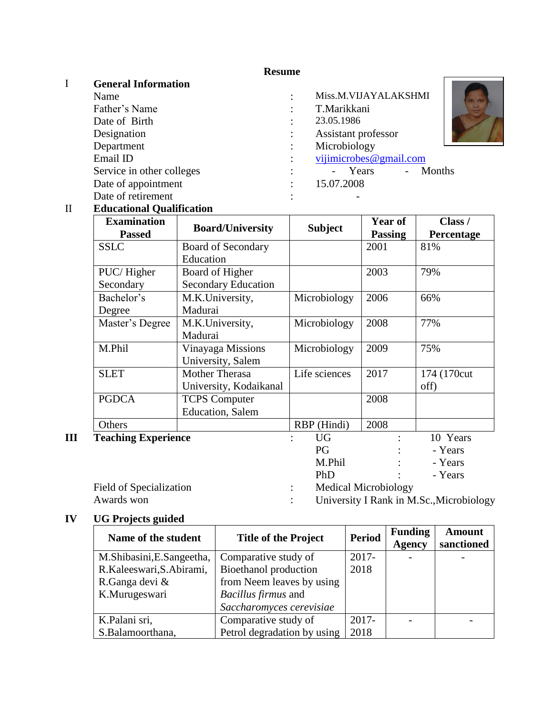## **Resume**

# I **General Information**

Father's Name : T. Date of Birth : Designation : Department : Email ID : view of the state of the state of the state of the state of the state of the state of the state of the state of the state of the state of the state of the state of the state of the state of the state of the stat Date of appointment : Date of retirement :

| Name                      | Miss.M.VIJAYALAKSHMI   |  |
|---------------------------|------------------------|--|
| Father's Name             | T.Marikkani            |  |
| Date of Birth             | 23.05.1986             |  |
| Designation               | Assistant professor    |  |
| Department                | Microbiology           |  |
| Email ID                  | vijimicrobes@gmail.com |  |
| Service in other colleges | - Years - Months       |  |
| Date of appointment       | 15.07.2008             |  |

## II **Educational Qualification**

| <b>Examination</b>         | <b>Board/University</b>    | <b>Subject</b> | Year of                     | Class /           |
|----------------------------|----------------------------|----------------|-----------------------------|-------------------|
| <b>Passed</b>              |                            |                | <b>Passing</b>              | <b>Percentage</b> |
| <b>SSLC</b>                | Board of Secondary         |                | 2001                        | 81%               |
|                            | Education                  |                |                             |                   |
| PUC/Higher                 | Board of Higher            |                | 2003                        | 79%               |
| Secondary                  | <b>Secondary Education</b> |                |                             |                   |
| Bachelor's                 | M.K.University,            | Microbiology   | 2006                        | 66%               |
| Degree                     | Madurai                    |                |                             |                   |
| Master's Degree            | M.K.University,            | Microbiology   | 2008                        | 77%               |
|                            | Madurai                    |                |                             |                   |
| M.Phil                     | Vinayaga Missions          | Microbiology   | 2009                        | 75%               |
|                            | University, Salem          |                |                             |                   |
| <b>SLET</b>                | Mother Therasa             | Life sciences  | 2017                        | 174 (170cut)      |
|                            | University, Kodaikanal     |                |                             | off)              |
| <b>PGDCA</b>               | <b>TCPS Computer</b>       |                | 2008                        |                   |
|                            | <b>Education</b> , Salem   |                |                             |                   |
| Others                     |                            | RBP (Hindi)    | 2008                        |                   |
| <b>Teaching Experience</b> |                            | <b>UG</b>      |                             | 10 Years          |
|                            |                            | PG             |                             | - Years           |
|                            |                            | M.Phil         |                             | - Years           |
|                            |                            | PhD            |                             | - Years           |
| Field of Specialization    |                            | $\ddot{\cdot}$ | <b>Medical Microbiology</b> |                   |
|                            |                            |                |                             |                   |

Awards won : University I Rank in M.Sc., Microbiology

# **IV UG Projects guided**

| Name of the student       | <b>Title of the Project</b> | <b>Period</b> | <b>Funding</b><br><b>Agency</b> | <b>Amount</b><br>sanctioned |
|---------------------------|-----------------------------|---------------|---------------------------------|-----------------------------|
| M.Shibasini, E.Sangeetha, | Comparative study of        | $2017 -$      |                                 |                             |
| R.Kaleeswari, S.Abirami,  | Bioethanol production       | 2018          |                                 |                             |
| R.Ganga devi &            | from Neem leaves by using   |               |                                 |                             |
| K.Murugeswari             | <i>Bacillus firmus</i> and  |               |                                 |                             |
|                           | Saccharomyces cerevisiae    |               |                                 |                             |
| K.Palani sri,             | Comparative study of        | $2017 -$      |                                 |                             |
| S.Balamoorthana,          | Petrol degradation by using | 2018          |                                 |                             |

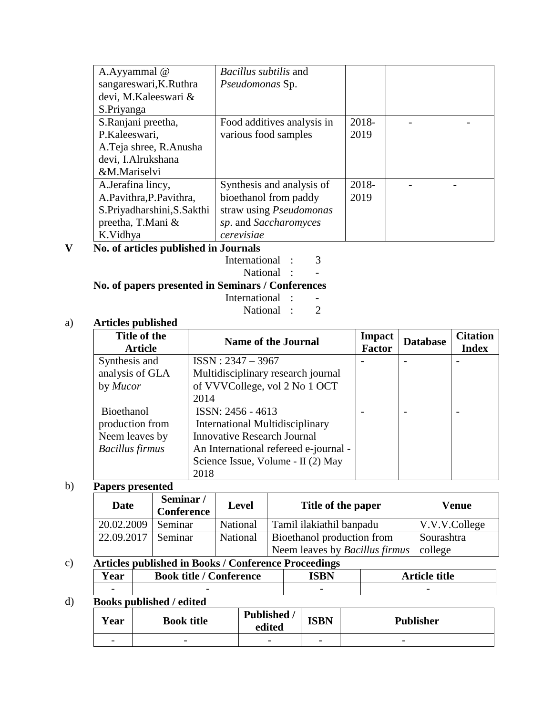| A.Ayyammal @               | <i>Bacillus subtilis</i> and   |       |  |
|----------------------------|--------------------------------|-------|--|
| sangareswari, K. Ruthra    | Pseudomonas Sp.                |       |  |
| devi, M.Kaleeswari &       |                                |       |  |
| S.Priyanga                 |                                |       |  |
| S.Ranjani preetha,         | Food additives analysis in     | 2018- |  |
| P.Kaleeswari,              | various food samples           | 2019  |  |
| A.Teja shree, R.Anusha     |                                |       |  |
| devi, I.Alrukshana         |                                |       |  |
| &M.Mariselvi               |                                |       |  |
| A.Jerafina lincy,          | Synthesis and analysis of      | 2018- |  |
| A.Pavithra, P.Pavithra,    | bioethanol from paddy          | 2019  |  |
| S.Priyadharshini, S.Sakthi | straw using <i>Pseudomonas</i> |       |  |
| preetha, T.Mani &          | sp. and Saccharomyces          |       |  |
| K.Vidhya                   | cerevisiae                     |       |  |

# **V No. of articles published in Journals**

International : 3

National : -

**No. of papers presented in Seminars / Conferences** 

- International : -<br>National : 2
	- National :

## a) **Articles published**

| Title of the<br><b>Article</b> | <b>Name of the Journal</b>             | <b>Impact</b><br><b>Factor</b> | <b>Database</b> | <b>Citation</b><br><b>Index</b> |
|--------------------------------|----------------------------------------|--------------------------------|-----------------|---------------------------------|
| Synthesis and                  | $ISSN: 2347 - 3967$                    |                                |                 |                                 |
| analysis of GLA                | Multidisciplinary research journal     |                                |                 |                                 |
| by <i>Mucor</i>                | of VVVCollege, vol 2 No 1 OCT          |                                |                 |                                 |
|                                | 2014                                   |                                |                 |                                 |
| Bioethanol                     | ISSN: 2456 - 4613                      |                                |                 |                                 |
| production from                | <b>International Multidisciplinary</b> |                                |                 |                                 |
| Neem leaves by                 | <b>Innovative Research Journal</b>     |                                |                 |                                 |
| <b>Bacillus</b> firmus         | An International refereed e-journal -  |                                |                 |                                 |
|                                | Science Issue, Volume - II (2) May     |                                |                 |                                 |
|                                | 2018                                   |                                |                 |                                 |

## b) **Papers presented**

| Date       | Seminar/<br><b>Conference</b> | <b>Level</b> | Title of the paper                    | Venue         |
|------------|-------------------------------|--------------|---------------------------------------|---------------|
| 20.02.2009 | Seminar                       | National     | Tamil ilakiathil banpadu              | V.V.V.College |
| 22.09.2017 | Seminar                       | National     | Bioethanol production from            | Sourashtra    |
|            |                               |              | Neem leaves by <i>Bacillus firmus</i> | college       |

# c) **Articles published in Books / Conference Proceedings**

| --<br>agr<br>1 cal       | Book-<br>terence<br>tıtle |                          | title<br>.<br>____       |
|--------------------------|---------------------------|--------------------------|--------------------------|
| $\overline{\phantom{0}}$ | $\overline{\phantom{0}}$  | $\overline{\phantom{0}}$ | $\overline{\phantom{0}}$ |

# d) **Books published / edited**

| rear                     | <b>Book title</b>        | Published<br>edited      | <b>ISBN</b>              | <b>Publisher</b>         |
|--------------------------|--------------------------|--------------------------|--------------------------|--------------------------|
| $\overline{\phantom{0}}$ | $\overline{\phantom{0}}$ | $\overline{\phantom{0}}$ | $\overline{\phantom{0}}$ | $\overline{\phantom{0}}$ |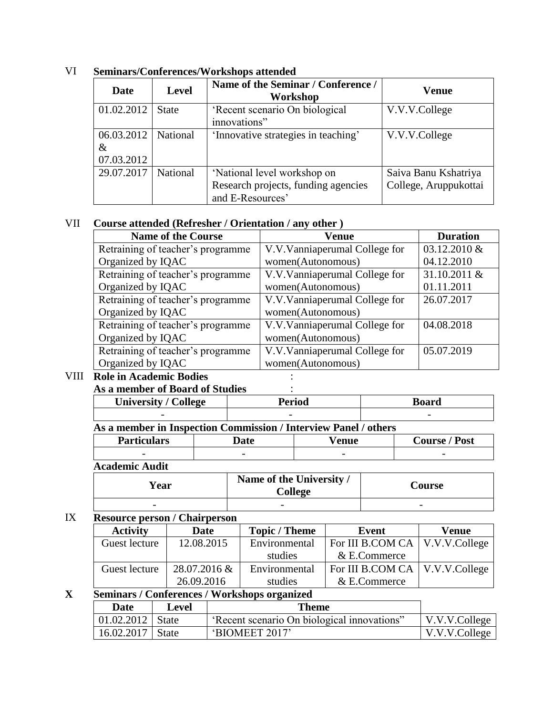| Date                             | <b>Level</b> | Name of the Seminar / Conference /<br>Workshop                                         | Venue                                         |
|----------------------------------|--------------|----------------------------------------------------------------------------------------|-----------------------------------------------|
| 01.02.2012                       | <b>State</b> | 'Recent scenario On biological<br>innovations"                                         | V.V.V.College                                 |
| 06.03.2012<br>$\&$<br>07.03.2012 | National     | 'Innovative strategies in teaching'                                                    | V.V.V.College                                 |
| 29.07.2017                       | National     | 'National level workshop on<br>Research projects, funding agencies<br>and E-Resources' | Saiva Banu Kshatriya<br>College, Aruppukottai |

VI **Seminars/Conferences/Workshops attended**

## VII **Course attended (Refresher / Orientation / any other )**

| <b>Name of the Course</b>         | Venue                           | <b>Duration</b> |
|-----------------------------------|---------------------------------|-----------------|
| Retraining of teacher's programme | V.V. Vannia perumal College for | 03.12.2010 &    |
| Organized by IQAC                 | women(Autonomous)               | 04.12.2010      |
| Retraining of teacher's programme | V.V. Vannia perumal College for | 31.10.2011 &    |
| Organized by IQAC                 | women(Autonomous)               | 01.11.2011      |
| Retraining of teacher's programme | V.V.Vanniaperumal College for   | 26.07.2017      |
| Organized by IQAC                 | women(Autonomous)               |                 |
| Retraining of teacher's programme | V.V.Vanniaperumal College for   | 04.08.2018      |
| Organized by IQAC                 | women(Autonomous)               |                 |
| Retraining of teacher's programme | V.V.Vanniaperumal College for   | 05.07.2019      |
| Organized by IQAC                 | women(Autonomous)               |                 |

## VIII **Role in Academic Bodies** :

## **As a member of Board of Studies** :

| University /<br><b>College</b> | Period                   | Board                    |
|--------------------------------|--------------------------|--------------------------|
| -                              | $\overline{\phantom{0}}$ | $\overline{\phantom{0}}$ |

٦

|                | As a member in Inspection Commission / Interview Panel / others |                              |                                     |
|----------------|-----------------------------------------------------------------|------------------------------|-------------------------------------|
| $D$ ortioulors | n^t^                                                            | $\mathbf{V}$ <sub>anua</sub> | $C_{\alpha \text{meas}}$ / $\Gamma$ |

| <b>Particulars</b>       | date                     | AN11A<br>uc              | $\overline{\phantom{0}}$<br>Post<br>`ourse |
|--------------------------|--------------------------|--------------------------|--------------------------------------------|
| $\overline{\phantom{0}}$ | $\overline{\phantom{a}}$ | $\overline{\phantom{0}}$ | $\overline{\phantom{0}}$                   |
| . .                      |                          |                          |                                            |

#### **Academic Audit**

| <b>Year</b>              | Name of the University /<br>College | <b>Course</b> |
|--------------------------|-------------------------------------|---------------|
| $\overline{\phantom{0}}$ | $\overline{\phantom{0}}$            | -             |

## IX **Resource person / Chairperson**

| <b>Activity</b> | <b>Date</b>  | <b>Topic</b> / <b>Theme</b> | <b>Event</b>                     | <b>Venue</b> |
|-----------------|--------------|-----------------------------|----------------------------------|--------------|
| Guest lecture   | 12.08.2015   | Environmental               | For III B.COM CA   V.V.V.College |              |
|                 |              | studies                     | & E.Commerce                     |              |
| Guest lecture   | 28.07.2016 & | Environmental               | For III B.COM CA   V.V.V.College |              |
|                 | 26.09.2016   | studies                     | & E.Commerce                     |              |

#### **X Seminars / Conferences / Workshops organized**

| Date               | Level    | Theme                                       |                       |
|--------------------|----------|---------------------------------------------|-----------------------|
| 01.02.2012   State |          | 'Recent scenario On biological innovations" | $\vert$ V.V.V.College |
| 16.02.2017         | State is | 'BIOMEET 2017'                              | V.V.V.College         |